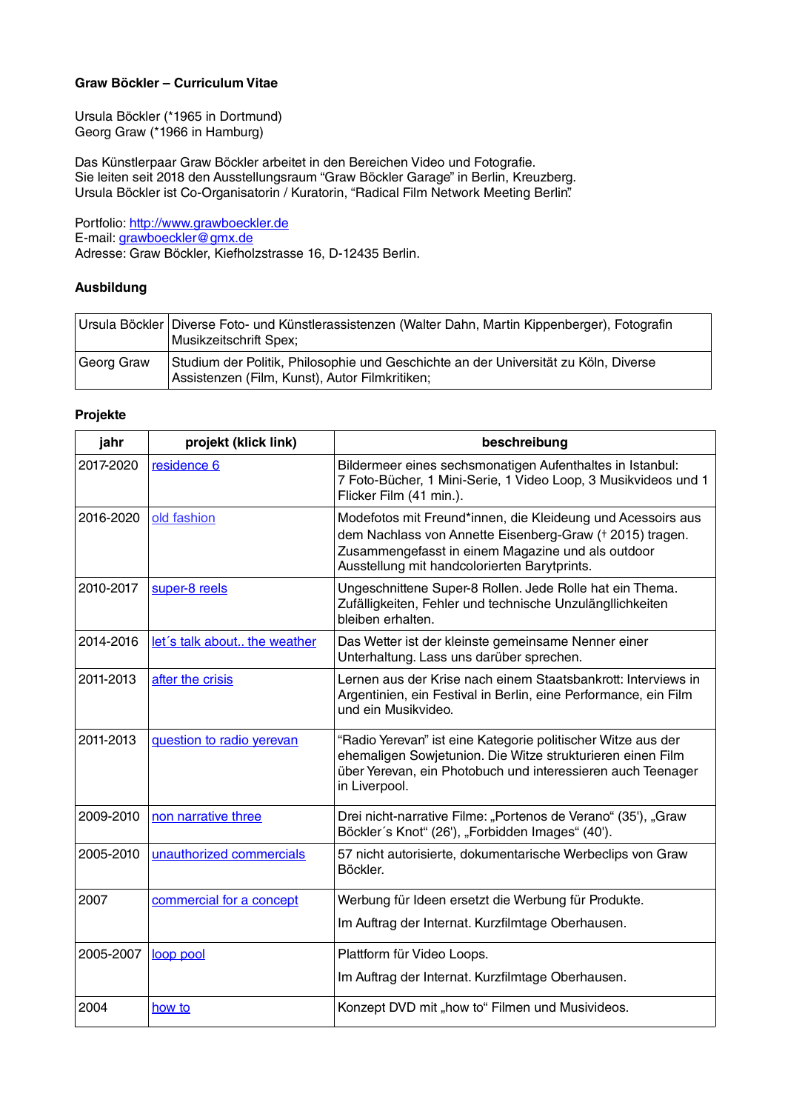### **Graw Böckler – Curriculum Vitae**

Ursula Böckler (\*1965 in Dortmund) Georg Graw (\*1966 in Hamburg)

Das Künstlerpaar Graw Böckler arbeitet in den Bereichen Video und Fotografie. Sie leiten seit 2018 den Ausstellungsraum "Graw Böckler Garage" in Berlin, Kreuzberg. Ursula Böckler ist Co-Organisatorin / Kuratorin, "Radical Film Network Meeting Berlin".

Portfolio: [http://www.grawboeckler.de](http://www.grawboeckler.de/) E-mail: [grawboeckler@gmx.de](mailto:GrawBoeckler@gmx.de) Adresse: Graw Böckler, Kiefholzstrasse 16, D-12435 Berlin.

#### **Ausbildung**

|            | Ursula Böckler   Diverse Foto- und Künstlerassistenzen (Walter Dahn, Martin Kippenberger), Fotografin<br>Musikzeitschrift Spex;       |
|------------|---------------------------------------------------------------------------------------------------------------------------------------|
| Georg Graw | Studium der Politik, Philosophie und Geschichte an der Universität zu Köln, Diverse<br>Assistenzen (Film, Kunst), Autor Filmkritiken; |

#### **Projekte**

| jahr      | projekt (klick link)         | beschreibung                                                                                                                                                                                                                 |
|-----------|------------------------------|------------------------------------------------------------------------------------------------------------------------------------------------------------------------------------------------------------------------------|
| 2017-2020 | residence 6                  | Bildermeer eines sechsmonatigen Aufenthaltes in Istanbul:<br>7 Foto-Bücher, 1 Mini-Serie, 1 Video Loop, 3 Musikvideos und 1<br>Flicker Film (41 min.).                                                                       |
| 2016-2020 | old fashion                  | Modefotos mit Freund*innen, die Kleideung und Acessoirs aus<br>dem Nachlass von Annette Eisenberg-Graw († 2015) tragen.<br>Zusammengefasst in einem Magazine und als outdoor<br>Ausstellung mit handcolorierten Barytprints. |
| 2010-2017 | super-8 reels                | Ungeschnittene Super-8 Rollen. Jede Rolle hat ein Thema.<br>Zufälligkeiten, Fehler und technische Unzulängllichkeiten<br>bleiben erhalten.                                                                                   |
| 2014-2016 | let's talk about the weather | Das Wetter ist der kleinste gemeinsame Nenner einer<br>Unterhaltung. Lass uns darüber sprechen.                                                                                                                              |
| 2011-2013 | after the crisis             | Lernen aus der Krise nach einem Staatsbankrott: Interviews in<br>Argentinien, ein Festival in Berlin, eine Performance, ein Film<br>und ein Musikvideo.                                                                      |
| 2011-2013 | question to radio yerevan    | "Radio Yerevan" ist eine Kategorie politischer Witze aus der<br>ehemaligen Sowjetunion. Die Witze strukturieren einen Film<br>über Yerevan, ein Photobuch und interessieren auch Teenager<br>in Liverpool.                   |
| 2009-2010 | non narrative three          | Drei nicht-narrative Filme: "Portenos de Verano" (35'), "Graw<br>Böckler's Knot" (26'), "Forbidden Images" (40').                                                                                                            |
| 2005-2010 | unauthorized commercials     | 57 nicht autorisierte, dokumentarische Werbeclips von Graw<br>Böckler.                                                                                                                                                       |
| 2007      | commercial for a concept     | Werbung für Ideen ersetzt die Werbung für Produkte.                                                                                                                                                                          |
|           |                              | Im Auftrag der Internat. Kurzfilmtage Oberhausen.                                                                                                                                                                            |
| 2005-2007 | loop pool                    | Plattform für Video Loops.                                                                                                                                                                                                   |
|           |                              | Im Auftrag der Internat. Kurzfilmtage Oberhausen.                                                                                                                                                                            |
| 2004      | how to                       | Konzept DVD mit "how to" Filmen und Musivideos.                                                                                                                                                                              |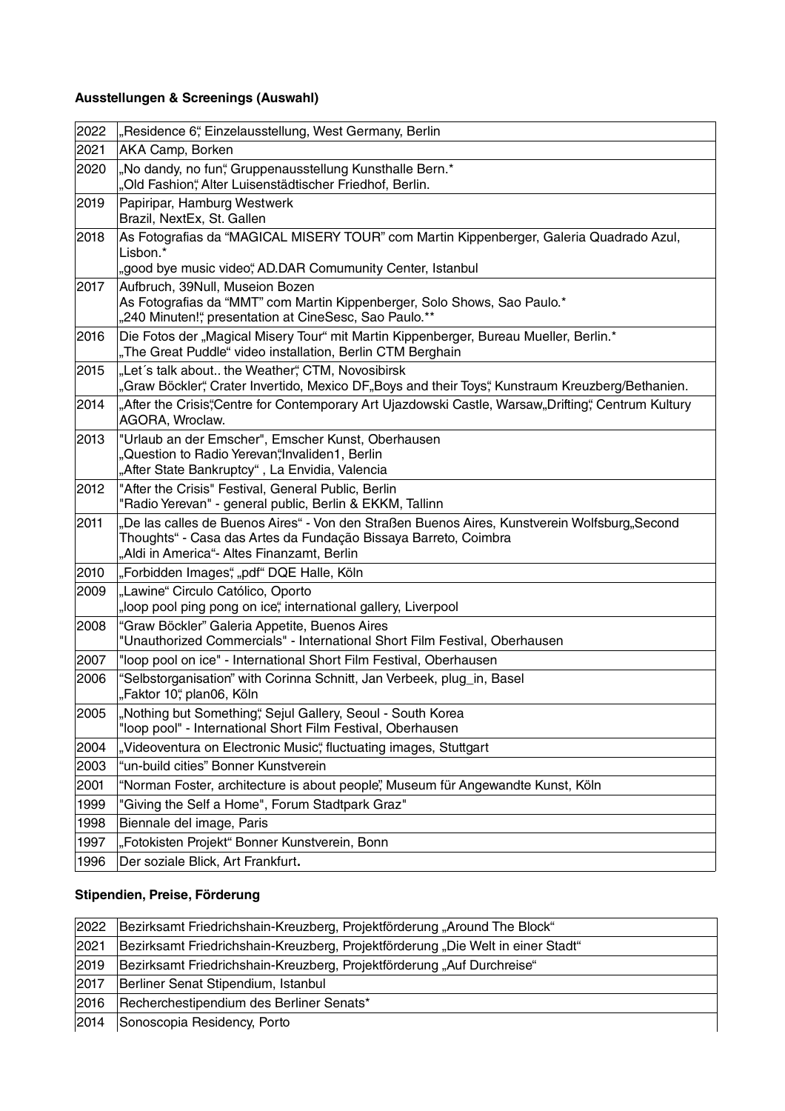# **Ausstellungen & Screenings (Auswahl)**

| 2022 | "Residence 6", Einzelausstellung, West Germany, Berlin                                                                                                                                                        |
|------|---------------------------------------------------------------------------------------------------------------------------------------------------------------------------------------------------------------|
| 2021 | AKA Camp, Borken                                                                                                                                                                                              |
| 2020 | "No dandy, no fun", Gruppenausstellung Kunsthalle Bern.*<br>"Old Fashion", Alter Luisenstädtischer Friedhof, Berlin.                                                                                          |
| 2019 | Papiripar, Hamburg Westwerk<br>Brazil, NextEx, St. Gallen                                                                                                                                                     |
| 2018 | As Fotografias da "MAGICAL MISERY TOUR" com Martin Kippenberger, Galeria Quadrado Azul,<br>Lisbon.*<br>"good bye music video", AD.DAR Comumunity Center, Istanbul                                             |
| 2017 | Aufbruch, 39Null, Museion Bozen<br>As Fotografias da "MMT" com Martin Kippenberger, Solo Shows, Sao Paulo.*<br>"240 Minuten!", presentation at CineSesc, Sao Paulo.**                                         |
| 2016 | Die Fotos der "Magical Misery Tour" mit Martin Kippenberger, Bureau Mueller, Berlin.*<br>"The Great Puddle" video installation, Berlin CTM Berghain                                                           |
| 2015 | "Let's talk about the Weather", CTM, Novosibirsk<br>"Graw Böckler", Crater Invertido, Mexico DF"Boys and their Toys", Kunstraum Kreuzberg/Bethanien.                                                          |
| 2014 | "After the Crisis",Centre for Contemporary Art Ujazdowski Castle, Warsaw"Drifting", Centrum Kultury<br>AGORA, Wroclaw.                                                                                        |
| 2013 | "Urlaub an der Emscher", Emscher Kunst, Oberhausen<br>"Question to Radio Yerevan"Invaliden1, Berlin<br>"After State Bankruptcy", La Envidia, Valencia                                                         |
| 2012 | "After the Crisis" Festival, General Public, Berlin<br>"Radio Yerevan" - general public, Berlin & EKKM, Tallinn                                                                                               |
| 2011 | "De las calles de Buenos Aires" - Von den Straßen Buenos Aires, Kunstverein Wolfsburg"Second<br>Thoughts" - Casa das Artes da Fundação Bissaya Barreto, Coimbra<br>"Aldi in America"- Altes Finanzamt, Berlin |
| 2010 | "Forbidden Images", "pdf" DQE Halle, Köln                                                                                                                                                                     |
| 2009 | "Lawine" Circulo Católico, Oporto<br>"loop pool ping pong on ice", international gallery, Liverpool                                                                                                           |
| 2008 | "Graw Böckler" Galeria Appetite, Buenos Aires<br>"Unauthorized Commercials" - International Short Film Festival, Oberhausen                                                                                   |
| 2007 | "loop pool on ice" - International Short Film Festival, Oberhausen                                                                                                                                            |
| 2006 | "Selbstorganisation" with Corinna Schnitt, Jan Verbeek, plug_in, Basel<br>"Faktor 10", plan06, Köln                                                                                                           |
| 2005 | "Nothing but Something", Sejul Gallery, Seoul - South Korea<br>"loop pool" - International Short Film Festival, Oberhausen                                                                                    |
| 2004 | "Videoventura on Electronic Music", fluctuating images, Stuttgart                                                                                                                                             |
| 2003 | "un-build cities" Bonner Kunstverein                                                                                                                                                                          |
| 2001 | "Norman Foster, architecture is about people", Museum für Angewandte Kunst, Köln                                                                                                                              |
| 1999 | "Giving the Self a Home", Forum Stadtpark Graz"                                                                                                                                                               |
| 1998 | Biennale del image, Paris                                                                                                                                                                                     |
| 1997 | "Fotokisten Projekt" Bonner Kunstverein, Bonn                                                                                                                                                                 |
| 1996 | Der soziale Blick, Art Frankfurt.                                                                                                                                                                             |

# **Stipendien, Preise, Förderung**

| 2022 | Bezirksamt Friedrichshain-Kreuzberg, Projektförderung "Around The Block"        |
|------|---------------------------------------------------------------------------------|
| 2021 | Bezirksamt Friedrichshain-Kreuzberg, Projektförderung "Die Welt in einer Stadt" |
| 2019 | Bezirksamt Friedrichshain-Kreuzberg, Projektförderung "Auf Durchreise"          |
| 2017 | Berliner Senat Stipendium, Istanbul                                             |
| 2016 | Recherchestipendium des Berliner Senats*                                        |
| 2014 | Sonoscopia Residency, Porto                                                     |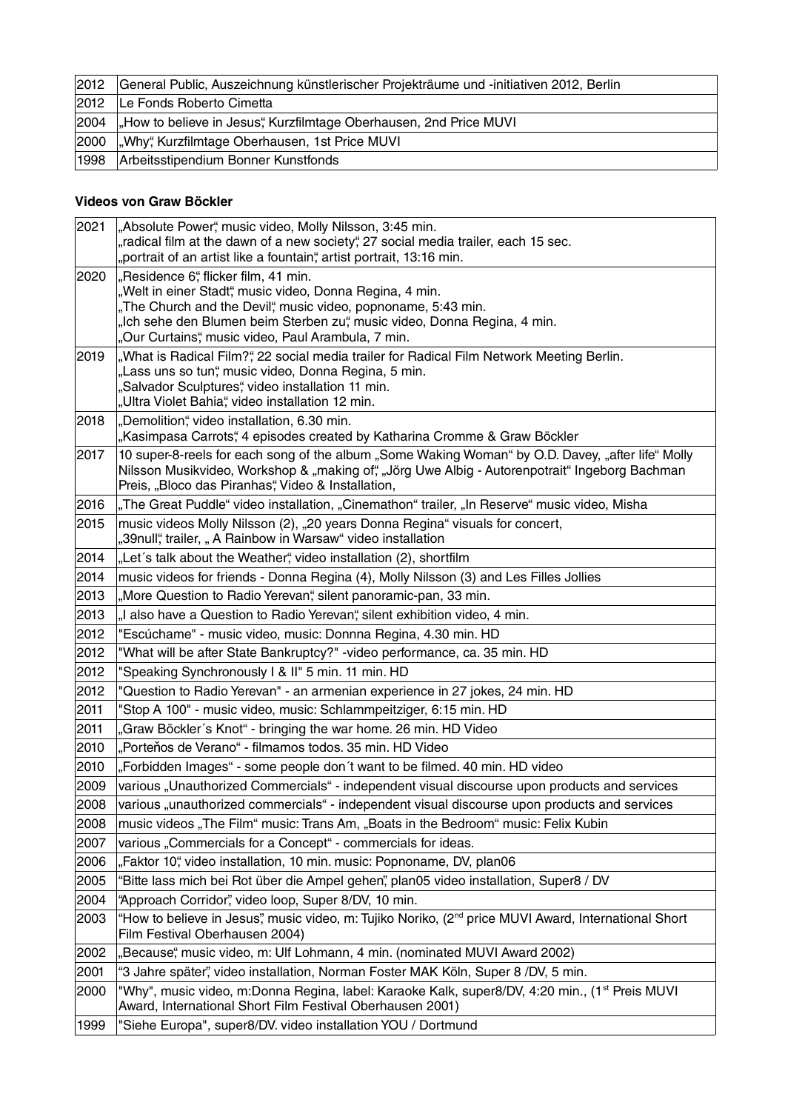| 2012 | General Public, Auszeichnung künstlerischer Projekträume und -initiativen 2012, Berlin |
|------|----------------------------------------------------------------------------------------|
| 2012 | Le Fonds Roberto Cimetta                                                               |
| 2004 | "How to believe in Jesus", Kurzfilmtage Oberhausen, 2nd Price MUVI                     |
| 2000 | Why", Kurzfilmtage Oberhausen, 1st Price MUVI                                          |
| 1998 | Arbeitsstipendium Bonner Kunstfonds                                                    |

# **Videos von Graw Böckler**

| "radical film at the dawn of a new society", 27 social media trailer, each 15 sec.<br>"portrait of an artist like a fountain", artist portrait, 13:16 min.<br>2020<br>"Residence 6", flicker film, 41 min.<br>"Welt in einer Stadt", music video, Donna Regina, 4 min.<br>"The Church and the Devil", music video, popnoname, 5:43 min.<br>"Ich sehe den Blumen beim Sterben zu", music video, Donna Regina, 4 min.<br>"Our Curtains", music video, Paul Arambula, 7 min.<br>"What is Radical Film?", 22 social media trailer for Radical Film Network Meeting Berlin.<br>2019<br>"Lass uns so tun", music video, Donna Regina, 5 min.<br>"Salvador Sculptures", video installation 11 min.<br>"Ultra Violet Bahia", video installation 12 min.<br>"Demolition", video installation, 6.30 min.<br>2018<br>"Kasimpasa Carrots", 4 episodes created by Katharina Cromme & Graw Böckler<br>10 super-8-reels for each song of the album "Some Waking Woman" by O.D. Davey, "after life" Molly<br>2017<br>Nilsson Musikvideo, Workshop & "making of", "Jörg Uwe Albig - Autorenpotrait" Ingeborg Bachman<br>Preis, "Bloco das Piranhas", Video & Installation,<br>"The Great Puddle" video installation, "Cinemathon" trailer, "In Reserve" music video, Misha<br>2016<br>music videos Molly Nilsson (2), "20 years Donna Regina" visuals for concert,<br>2015<br>"39null", trailer, "A Rainbow in Warsaw" video installation |
|--------------------------------------------------------------------------------------------------------------------------------------------------------------------------------------------------------------------------------------------------------------------------------------------------------------------------------------------------------------------------------------------------------------------------------------------------------------------------------------------------------------------------------------------------------------------------------------------------------------------------------------------------------------------------------------------------------------------------------------------------------------------------------------------------------------------------------------------------------------------------------------------------------------------------------------------------------------------------------------------------------------------------------------------------------------------------------------------------------------------------------------------------------------------------------------------------------------------------------------------------------------------------------------------------------------------------------------------------------------------------------------------------------------------------|
|                                                                                                                                                                                                                                                                                                                                                                                                                                                                                                                                                                                                                                                                                                                                                                                                                                                                                                                                                                                                                                                                                                                                                                                                                                                                                                                                                                                                                          |
|                                                                                                                                                                                                                                                                                                                                                                                                                                                                                                                                                                                                                                                                                                                                                                                                                                                                                                                                                                                                                                                                                                                                                                                                                                                                                                                                                                                                                          |
|                                                                                                                                                                                                                                                                                                                                                                                                                                                                                                                                                                                                                                                                                                                                                                                                                                                                                                                                                                                                                                                                                                                                                                                                                                                                                                                                                                                                                          |
|                                                                                                                                                                                                                                                                                                                                                                                                                                                                                                                                                                                                                                                                                                                                                                                                                                                                                                                                                                                                                                                                                                                                                                                                                                                                                                                                                                                                                          |
|                                                                                                                                                                                                                                                                                                                                                                                                                                                                                                                                                                                                                                                                                                                                                                                                                                                                                                                                                                                                                                                                                                                                                                                                                                                                                                                                                                                                                          |
|                                                                                                                                                                                                                                                                                                                                                                                                                                                                                                                                                                                                                                                                                                                                                                                                                                                                                                                                                                                                                                                                                                                                                                                                                                                                                                                                                                                                                          |
|                                                                                                                                                                                                                                                                                                                                                                                                                                                                                                                                                                                                                                                                                                                                                                                                                                                                                                                                                                                                                                                                                                                                                                                                                                                                                                                                                                                                                          |
|                                                                                                                                                                                                                                                                                                                                                                                                                                                                                                                                                                                                                                                                                                                                                                                                                                                                                                                                                                                                                                                                                                                                                                                                                                                                                                                                                                                                                          |
|                                                                                                                                                                                                                                                                                                                                                                                                                                                                                                                                                                                                                                                                                                                                                                                                                                                                                                                                                                                                                                                                                                                                                                                                                                                                                                                                                                                                                          |
|                                                                                                                                                                                                                                                                                                                                                                                                                                                                                                                                                                                                                                                                                                                                                                                                                                                                                                                                                                                                                                                                                                                                                                                                                                                                                                                                                                                                                          |
|                                                                                                                                                                                                                                                                                                                                                                                                                                                                                                                                                                                                                                                                                                                                                                                                                                                                                                                                                                                                                                                                                                                                                                                                                                                                                                                                                                                                                          |
|                                                                                                                                                                                                                                                                                                                                                                                                                                                                                                                                                                                                                                                                                                                                                                                                                                                                                                                                                                                                                                                                                                                                                                                                                                                                                                                                                                                                                          |
|                                                                                                                                                                                                                                                                                                                                                                                                                                                                                                                                                                                                                                                                                                                                                                                                                                                                                                                                                                                                                                                                                                                                                                                                                                                                                                                                                                                                                          |
|                                                                                                                                                                                                                                                                                                                                                                                                                                                                                                                                                                                                                                                                                                                                                                                                                                                                                                                                                                                                                                                                                                                                                                                                                                                                                                                                                                                                                          |
|                                                                                                                                                                                                                                                                                                                                                                                                                                                                                                                                                                                                                                                                                                                                                                                                                                                                                                                                                                                                                                                                                                                                                                                                                                                                                                                                                                                                                          |
|                                                                                                                                                                                                                                                                                                                                                                                                                                                                                                                                                                                                                                                                                                                                                                                                                                                                                                                                                                                                                                                                                                                                                                                                                                                                                                                                                                                                                          |
|                                                                                                                                                                                                                                                                                                                                                                                                                                                                                                                                                                                                                                                                                                                                                                                                                                                                                                                                                                                                                                                                                                                                                                                                                                                                                                                                                                                                                          |
| 2014<br>"Let's talk about the Weather", video installation (2), shortfilm                                                                                                                                                                                                                                                                                                                                                                                                                                                                                                                                                                                                                                                                                                                                                                                                                                                                                                                                                                                                                                                                                                                                                                                                                                                                                                                                                |
| 2014<br>music videos for friends - Donna Regina (4), Molly Nilsson (3) and Les Filles Jollies                                                                                                                                                                                                                                                                                                                                                                                                                                                                                                                                                                                                                                                                                                                                                                                                                                                                                                                                                                                                                                                                                                                                                                                                                                                                                                                            |
| 2013<br>"More Question to Radio Yerevan", silent panoramic-pan, 33 min.                                                                                                                                                                                                                                                                                                                                                                                                                                                                                                                                                                                                                                                                                                                                                                                                                                                                                                                                                                                                                                                                                                                                                                                                                                                                                                                                                  |
| 2013<br>"I also have a Question to Radio Yerevan", silent exhibition video, 4 min.                                                                                                                                                                                                                                                                                                                                                                                                                                                                                                                                                                                                                                                                                                                                                                                                                                                                                                                                                                                                                                                                                                                                                                                                                                                                                                                                       |
| 2012<br>"Escúchame" - music video, music: Donnna Regina, 4.30 min. HD                                                                                                                                                                                                                                                                                                                                                                                                                                                                                                                                                                                                                                                                                                                                                                                                                                                                                                                                                                                                                                                                                                                                                                                                                                                                                                                                                    |
| 2012<br>"What will be after State Bankruptcy?" -video performance, ca. 35 min. HD                                                                                                                                                                                                                                                                                                                                                                                                                                                                                                                                                                                                                                                                                                                                                                                                                                                                                                                                                                                                                                                                                                                                                                                                                                                                                                                                        |
| 2012<br>"Speaking Synchronously I & II" 5 min. 11 min. HD                                                                                                                                                                                                                                                                                                                                                                                                                                                                                                                                                                                                                                                                                                                                                                                                                                                                                                                                                                                                                                                                                                                                                                                                                                                                                                                                                                |
| 2012<br>"Question to Radio Yerevan" - an armenian experience in 27 jokes, 24 min. HD                                                                                                                                                                                                                                                                                                                                                                                                                                                                                                                                                                                                                                                                                                                                                                                                                                                                                                                                                                                                                                                                                                                                                                                                                                                                                                                                     |
| "Stop A 100" - music video, music: Schlammpeitziger, 6:15 min. HD<br>2011                                                                                                                                                                                                                                                                                                                                                                                                                                                                                                                                                                                                                                                                                                                                                                                                                                                                                                                                                                                                                                                                                                                                                                                                                                                                                                                                                |
| 2011<br>"Graw Böckler's Knot" - bringing the war home. 26 min. HD Video                                                                                                                                                                                                                                                                                                                                                                                                                                                                                                                                                                                                                                                                                                                                                                                                                                                                                                                                                                                                                                                                                                                                                                                                                                                                                                                                                  |
| "Porteňos de Verano" - filmamos todos. 35 min. HD Video<br>2010                                                                                                                                                                                                                                                                                                                                                                                                                                                                                                                                                                                                                                                                                                                                                                                                                                                                                                                                                                                                                                                                                                                                                                                                                                                                                                                                                          |
| 2010<br>"Forbidden Images" - some people don't want to be filmed. 40 min. HD video                                                                                                                                                                                                                                                                                                                                                                                                                                                                                                                                                                                                                                                                                                                                                                                                                                                                                                                                                                                                                                                                                                                                                                                                                                                                                                                                       |
| 2009<br>various "Unauthorized Commercials" - independent visual discourse upon products and services                                                                                                                                                                                                                                                                                                                                                                                                                                                                                                                                                                                                                                                                                                                                                                                                                                                                                                                                                                                                                                                                                                                                                                                                                                                                                                                     |
| various "unauthorized commercials" - independent visual discourse upon products and services<br>2008                                                                                                                                                                                                                                                                                                                                                                                                                                                                                                                                                                                                                                                                                                                                                                                                                                                                                                                                                                                                                                                                                                                                                                                                                                                                                                                     |
| music videos "The Film" music: Trans Am, "Boats in the Bedroom" music: Felix Kubin<br>2008                                                                                                                                                                                                                                                                                                                                                                                                                                                                                                                                                                                                                                                                                                                                                                                                                                                                                                                                                                                                                                                                                                                                                                                                                                                                                                                               |
| 2007<br>various "Commercials for a Concept" - commercials for ideas.                                                                                                                                                                                                                                                                                                                                                                                                                                                                                                                                                                                                                                                                                                                                                                                                                                                                                                                                                                                                                                                                                                                                                                                                                                                                                                                                                     |
| 2006<br>"Faktor 10", video installation, 10 min. music: Popnoname, DV, plan06                                                                                                                                                                                                                                                                                                                                                                                                                                                                                                                                                                                                                                                                                                                                                                                                                                                                                                                                                                                                                                                                                                                                                                                                                                                                                                                                            |
| 2005<br>"Bitte lass mich bei Rot über die Ampel gehen", plan05 video installation, Super8 / DV                                                                                                                                                                                                                                                                                                                                                                                                                                                                                                                                                                                                                                                                                                                                                                                                                                                                                                                                                                                                                                                                                                                                                                                                                                                                                                                           |
| 2004<br>"Approach Corridor", video loop, Super 8/DV, 10 min.                                                                                                                                                                                                                                                                                                                                                                                                                                                                                                                                                                                                                                                                                                                                                                                                                                                                                                                                                                                                                                                                                                                                                                                                                                                                                                                                                             |
| "How to believe in Jesus", music video, m: Tujiko Noriko, (2 <sup>nd</sup> price MUVI Award, International Short<br>2003<br>Film Festival Oberhausen 2004)                                                                                                                                                                                                                                                                                                                                                                                                                                                                                                                                                                                                                                                                                                                                                                                                                                                                                                                                                                                                                                                                                                                                                                                                                                                               |
| 2002<br>"Because", music video, m: Ulf Lohmann, 4 min. (nominated MUVI Award 2002)                                                                                                                                                                                                                                                                                                                                                                                                                                                                                                                                                                                                                                                                                                                                                                                                                                                                                                                                                                                                                                                                                                                                                                                                                                                                                                                                       |
| 2001<br>"3 Jahre später", video installation, Norman Foster MAK Köln, Super 8 /DV, 5 min.                                                                                                                                                                                                                                                                                                                                                                                                                                                                                                                                                                                                                                                                                                                                                                                                                                                                                                                                                                                                                                                                                                                                                                                                                                                                                                                                |
| "Why", music video, m:Donna Regina, label: Karaoke Kalk, super8/DV, 4:20 min., (1 <sup>st</sup> Preis MUVI<br>2000<br>Award, International Short Film Festival Oberhausen 2001)                                                                                                                                                                                                                                                                                                                                                                                                                                                                                                                                                                                                                                                                                                                                                                                                                                                                                                                                                                                                                                                                                                                                                                                                                                          |
| 1999<br>"Siehe Europa", super8/DV. video installation YOU / Dortmund                                                                                                                                                                                                                                                                                                                                                                                                                                                                                                                                                                                                                                                                                                                                                                                                                                                                                                                                                                                                                                                                                                                                                                                                                                                                                                                                                     |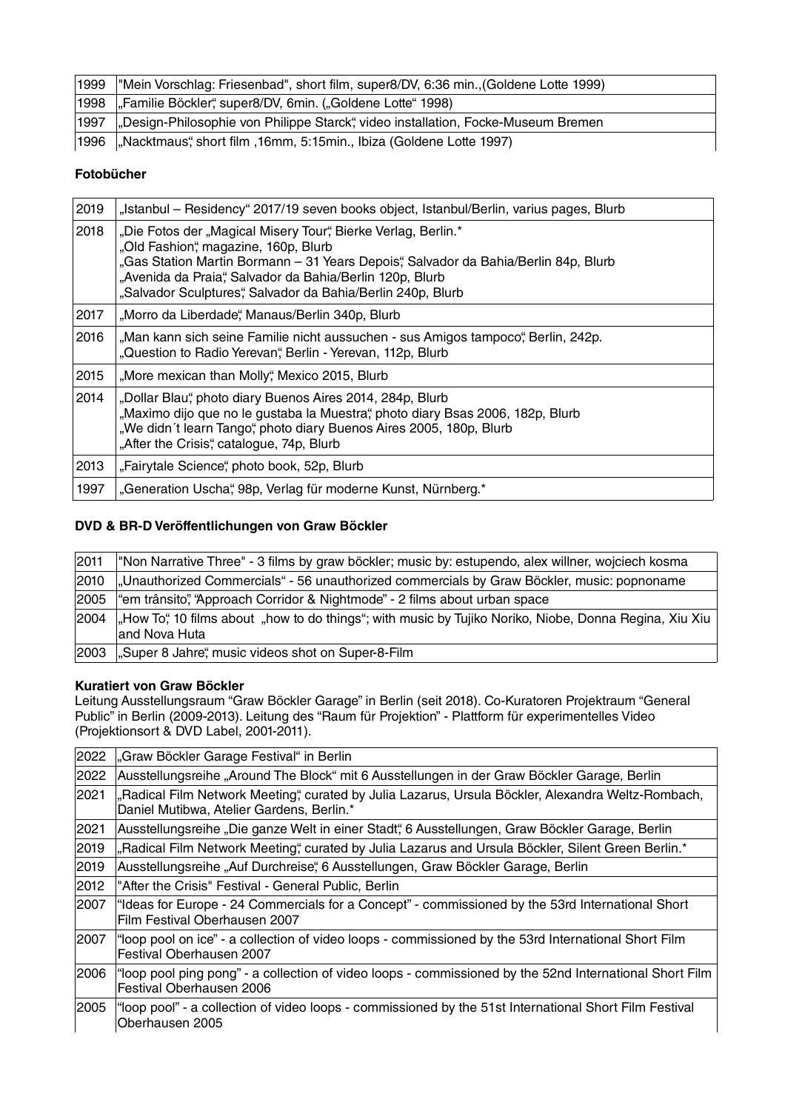| 1999 | "Mein Vorschlag: Friesenbad", short film, super8/DV, 6:36 min., (Goldene Lotte 1999) |
|------|--------------------------------------------------------------------------------------|
|      | 1998 "Familie Böckler", super8/DV, 6min. ("Goldene Lotte" 1998)                      |
| 1997 | "Design-Philosophie von Philippe Starck", video installation, Focke-Museum Bremen    |
| 1996 | "Nacktmaus", short film, 16mm, 5:15min., Ibiza (Goldene Lotte 1997)                  |

# **Fotobücher**

| 2019 | "Istanbul – Residency" 2017/19 seven books object, Istanbul/Berlin, varius pages, Blurb                                                                                                                                                                                                                                 |
|------|-------------------------------------------------------------------------------------------------------------------------------------------------------------------------------------------------------------------------------------------------------------------------------------------------------------------------|
| 2018 | "Die Fotos der "Magical Misery Tour", Bierke Verlag, Berlin.*<br>"Old Fashion", magazine, 160p, Blurb<br>"Gas Station Martin Bormann - 31 Years Depois", Salvador da Bahia/Berlin 84p, Blurb<br>"Avenida da Praia", Salvador da Bahia/Berlin 120p, Blurb<br>"Salvador Sculptures", Salvador da Bahia/Berlin 240p, Blurb |
| 2017 | "Morro da Liberdade", Manaus/Berlin 340p, Blurb                                                                                                                                                                                                                                                                         |
| 2016 | "Man kann sich seine Familie nicht aussuchen - sus Amigos tampoco", Berlin, 242p.<br>"Question to Radio Yerevan", Berlin - Yerevan, 112p, Blurb                                                                                                                                                                         |
| 2015 | "More mexican than Molly", Mexico 2015, Blurb                                                                                                                                                                                                                                                                           |
| 2014 | "Dollar Blau", photo diary Buenos Aires 2014, 284p, Blurb<br>"Maximo dijo que no le gustaba la Muestra", photo diary Bsas 2006, 182p, Blurb<br>"We didn't learn Tango", photo diary Buenos Aires 2005, 180p, Blurb<br>"After the Crisis", catalogue, 74p, Blurb                                                         |
| 2013 | "Fairytale Science", photo book, 52p, Blurb                                                                                                                                                                                                                                                                             |
| 1997 | "Generation Uscha", 98p, Verlag für moderne Kunst, Nürnberg.*                                                                                                                                                                                                                                                           |

### **DVD & BR-D Veröffentlichungen von Graw Böckler**

| 2011 | "Non Narrative Three" - 3 films by graw böckler; music by: estupendo, alex willner, wojciech kosma                      |
|------|-------------------------------------------------------------------------------------------------------------------------|
| 2010 | "Unauthorized Commercials" - 56 unauthorized commercials by Graw Böckler, music: popnoname                              |
| 2005 | "em trânsito", "Approach Corridor & Nightmode" - 2 films about urban space                                              |
| 2004 | "How To", 10 films about "how to do things"; with music by Tujiko Noriko, Niobe, Donna Regina, Xiu Xiu<br>and Nova Huta |
| 2003 | "Super 8 Jahre", music videos shot on Super-8-Film                                                                      |

### **Kuratiert von Graw Böckler**

Leitung Ausstellungsraum "Graw Böckler Garage" in Berlin (seit 2018). Co-Kuratoren Projektraum "General Public" in Berlin (2009-2013). Leitung des "Raum für Projektion" - Plattform für experimentelles Video (Projektionsort & DVD Label, 2001-2011).

| 2022 | "Graw Böckler Garage Festival" in Berlin                                                                                                        |
|------|-------------------------------------------------------------------------------------------------------------------------------------------------|
| 2022 | Ausstellungsreihe "Around The Block" mit 6 Ausstellungen in der Graw Böckler Garage, Berlin                                                     |
| 2021 | "Radical Film Network Meeting", curated by Julia Lazarus, Ursula Böckler, Alexandra Weltz-Rombach,<br>Daniel Mutibwa, Atelier Gardens, Berlin.* |
| 2021 | Ausstellungsreihe "Die ganze Welt in einer Stadt", 6 Ausstellungen, Graw Böckler Garage, Berlin                                                 |
| 2019 | "Radical Film Network Meeting", curated by Julia Lazarus and Ursula Böckler, Silent Green Berlin.*                                              |
| 2019 | Ausstellungsreihe "Auf Durchreise", 6 Ausstellungen, Graw Böckler Garage, Berlin                                                                |
| 2012 | "After the Crisis" Festival - General Public, Berlin                                                                                            |
| 2007 | "Ideas for Europe - 24 Commercials for a Concept" - commissioned by the 53rd International Short<br>Film Festival Oberhausen 2007               |
| 2007 | "loop pool on ice" - a collection of video loops - commissioned by the 53rd International Short Film<br>Festival Oberhausen 2007                |
| 2006 | "loop pool ping pong" - a collection of video loops - commissioned by the 52nd International Short Film<br>Festival Oberhausen 2006             |
| 2005 | "loop pool" - a collection of video loops - commissioned by the 51st International Short Film Festival<br>Oberhausen 2005                       |